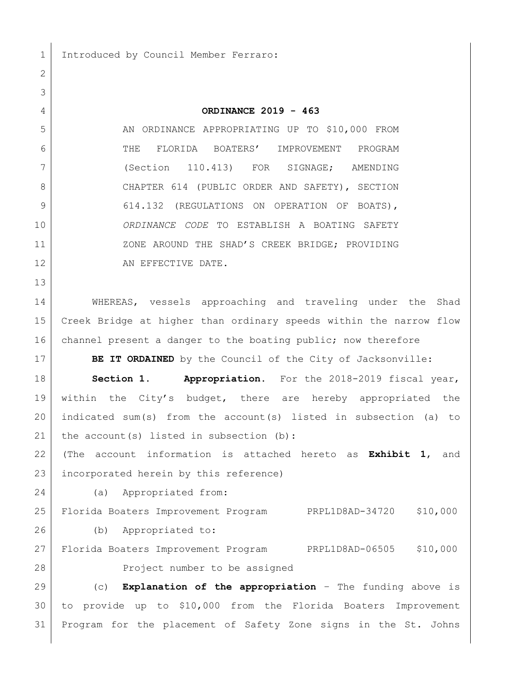Introduced by Council Member Ferraro:

**ORDINANCE 2019 - 463**

5 AN ORDINANCE APPROPRIATING UP TO \$10,000 FROM THE FLORIDA BOATERS' IMPROVEMENT PROGRAM (Section 110.413) FOR SIGNAGE; AMENDING 8 | CHAPTER 614 (PUBLIC ORDER AND SAFETY), SECTION 9 614.132 (REGULATIONS ON OPERATION OF BOATS), *ORDINANCE CODE* TO ESTABLISH A BOATING SAFETY **ZONE AROUND THE SHAD'S CREEK BRIDGE; PROVIDING** 12 AN EFFECTIVE DATE.

14 WHEREAS, vessels approaching and traveling under the Shad Creek Bridge at higher than ordinary speeds within the narrow flow 16 channel present a danger to the boating public; now therefore

**BE IT ORDAINED** by the Council of the City of Jacksonville:

 **Section 1. Appropriation.** For the 2018-2019 fiscal year, within the City's budget, there are hereby appropriated the indicated sum(s) from the account(s) listed in subsection (a) to 21 the account(s) listed in subsection  $(b)$ :

 (The account information is attached hereto as **Exhibit 1**, and incorporated herein by this reference)

(a) Appropriated from:

 Florida Boaters Improvement Program PRPL1D8AD-34720 \$10,000 (b) Appropriated to:

 Florida Boaters Improvement Program PRPL1D8AD-06505 \$10,000 28 Project number to be assigned

 (c) **Explanation of the appropriation** – The funding above is to provide up to \$10,000 from the Florida Boaters Improvement Program for the placement of Safety Zone signs in the St. Johns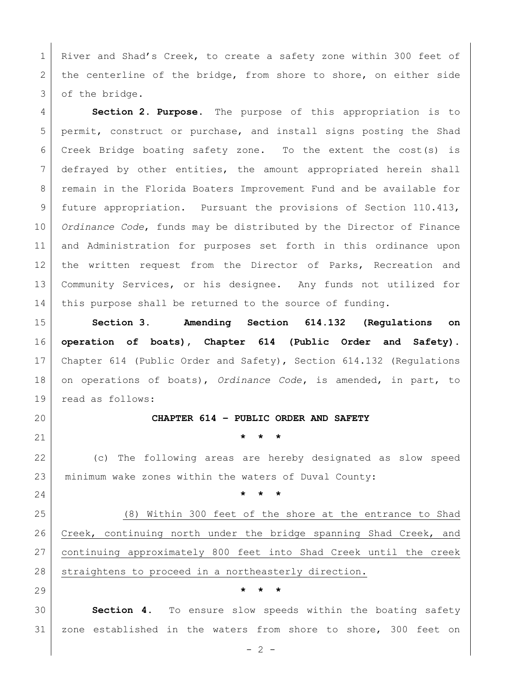1 River and Shad's Creek, to create a safety zone within 300 feet of 2 | the centerline of the bridge, from shore to shore, on either side of the bridge.

 **Section 2. Purpose.** The purpose of this appropriation is to permit, construct or purchase, and install signs posting the Shad Creek Bridge boating safety zone. To the extent the cost(s) is defrayed by other entities, the amount appropriated herein shall 8 | remain in the Florida Boaters Improvement Fund and be available for future appropriation. Pursuant the provisions of Section 110.413, *Ordinance Code*, funds may be distributed by the Director of Finance and Administration for purposes set forth in this ordinance upon the written request from the Director of Parks, Recreation and Community Services, or his designee. Any funds not utilized for this purpose shall be returned to the source of funding.

 **Section 3. Amending Section 614.132 (Regulations on operation of boats), Chapter 614 (Public Order and Safety).** Chapter 614 (Public Order and Safety), Section 614.132 (Regulations on operations of boats), *Ordinance Code***,** is amended, in part, to read as follows:

**CHAPTER 614 – PUBLIC ORDER AND SAFETY**

**\* \* \***

 (c) The following areas are hereby designated as slow speed minimum wake zones within the waters of Duval County:

**\* \* \***

 (8) Within 300 feet of the shore at the entrance to Shad Creek, continuing north under the bridge spanning Shad Creek, and continuing approximately 800 feet into Shad Creek until the creek 28 straightens to proceed in a northeasterly direction.

**\* \* \***

 **Section 4.** To ensure slow speeds within the boating safety zone established in the waters from shore to shore, 300 feet on

 $- 2 -$